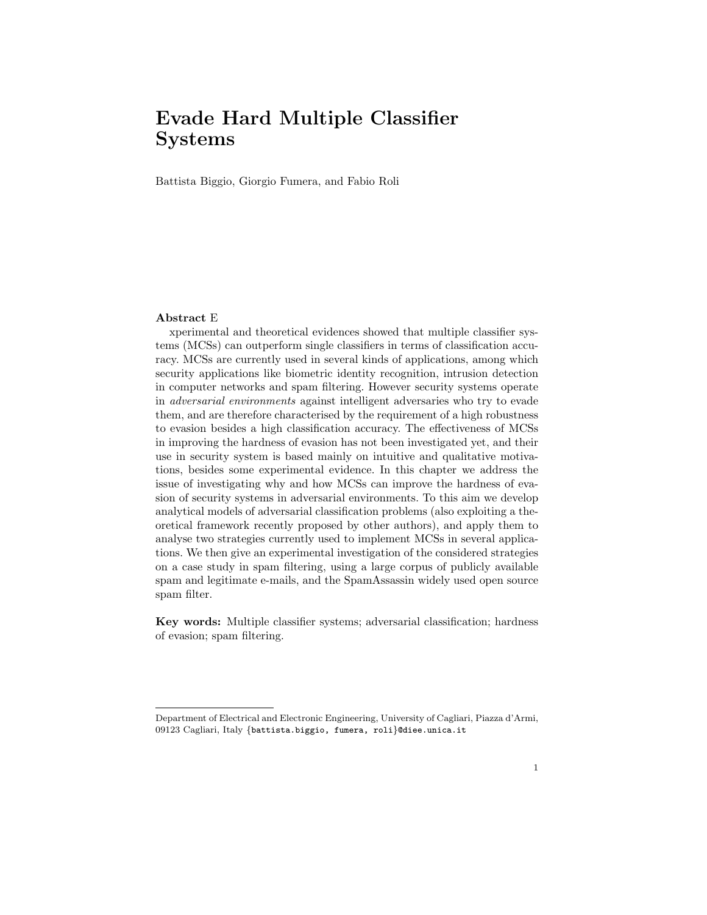# Evade Hard Multiple Classifier Systems

Battista Biggio, Giorgio Fumera, and Fabio Roli

#### Abstract E

xperimental and theoretical evidences showed that multiple classifier systems (MCSs) can outperform single classifiers in terms of classification accuracy. MCSs are currently used in several kinds of applications, among which security applications like biometric identity recognition, intrusion detection in computer networks and spam filtering. However security systems operate in adversarial environments against intelligent adversaries who try to evade them, and are therefore characterised by the requirement of a high robustness to evasion besides a high classification accuracy. The effectiveness of MCSs in improving the hardness of evasion has not been investigated yet, and their use in security system is based mainly on intuitive and qualitative motivations, besides some experimental evidence. In this chapter we address the issue of investigating why and how MCSs can improve the hardness of evasion of security systems in adversarial environments. To this aim we develop analytical models of adversarial classification problems (also exploiting a theoretical framework recently proposed by other authors), and apply them to analyse two strategies currently used to implement MCSs in several applications. We then give an experimental investigation of the considered strategies on a case study in spam filtering, using a large corpus of publicly available spam and legitimate e-mails, and the SpamAssassin widely used open source spam filter.

Key words: Multiple classifier systems; adversarial classification; hardness of evasion; spam filtering.

Department of Electrical and Electronic Engineering, University of Cagliari, Piazza d'Armi, 09123 Cagliari, Italy {battista.biggio, fumera, roli}@diee.unica.it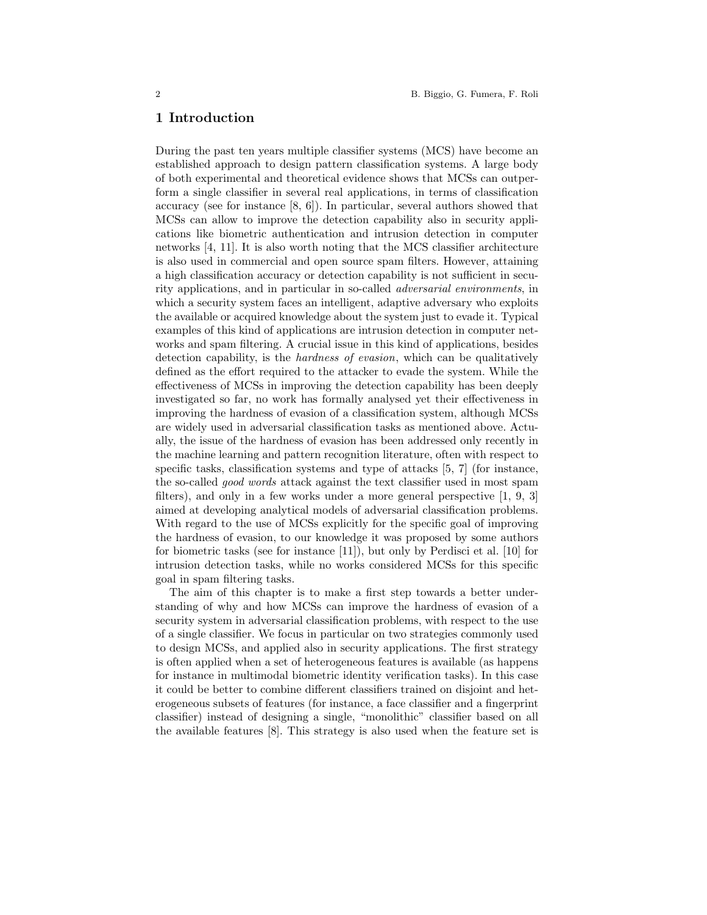#### 1 Introduction

During the past ten years multiple classifier systems (MCS) have become an established approach to design pattern classification systems. A large body of both experimental and theoretical evidence shows that MCSs can outperform a single classifier in several real applications, in terms of classification accuracy (see for instance [8, 6]). In particular, several authors showed that MCSs can allow to improve the detection capability also in security applications like biometric authentication and intrusion detection in computer networks [4, 11]. It is also worth noting that the MCS classifier architecture is also used in commercial and open source spam filters. However, attaining a high classification accuracy or detection capability is not sufficient in security applications, and in particular in so-called adversarial environments, in which a security system faces an intelligent, adaptive adversary who exploits the available or acquired knowledge about the system just to evade it. Typical examples of this kind of applications are intrusion detection in computer networks and spam filtering. A crucial issue in this kind of applications, besides detection capability, is the *hardness of evasion*, which can be qualitatively defined as the effort required to the attacker to evade the system. While the effectiveness of MCSs in improving the detection capability has been deeply investigated so far, no work has formally analysed yet their effectiveness in improving the hardness of evasion of a classification system, although MCSs are widely used in adversarial classification tasks as mentioned above. Actually, the issue of the hardness of evasion has been addressed only recently in the machine learning and pattern recognition literature, often with respect to specific tasks, classification systems and type of attacks [5, 7] (for instance, the so-called good words attack against the text classifier used in most spam filters), and only in a few works under a more general perspective [1, 9, 3] aimed at developing analytical models of adversarial classification problems. With regard to the use of MCSs explicitly for the specific goal of improving the hardness of evasion, to our knowledge it was proposed by some authors for biometric tasks (see for instance [11]), but only by Perdisci et al. [10] for intrusion detection tasks, while no works considered MCSs for this specific goal in spam filtering tasks.

The aim of this chapter is to make a first step towards a better understanding of why and how MCSs can improve the hardness of evasion of a security system in adversarial classification problems, with respect to the use of a single classifier. We focus in particular on two strategies commonly used to design MCSs, and applied also in security applications. The first strategy is often applied when a set of heterogeneous features is available (as happens for instance in multimodal biometric identity verification tasks). In this case it could be better to combine different classifiers trained on disjoint and heterogeneous subsets of features (for instance, a face classifier and a fingerprint classifier) instead of designing a single, "monolithic" classifier based on all the available features [8]. This strategy is also used when the feature set is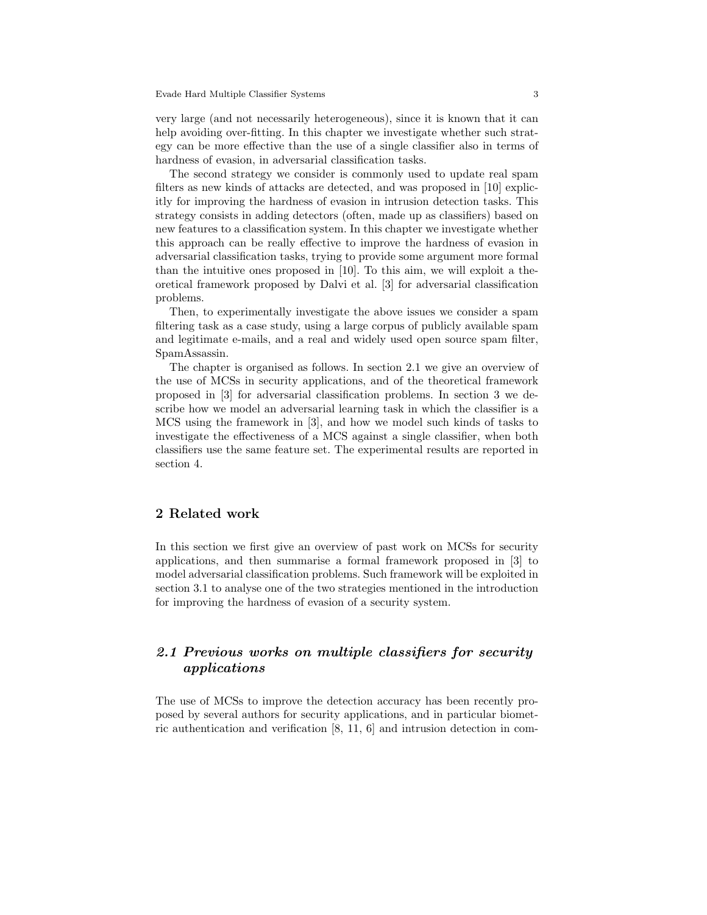very large (and not necessarily heterogeneous), since it is known that it can help avoiding over-fitting. In this chapter we investigate whether such strategy can be more effective than the use of a single classifier also in terms of hardness of evasion, in adversarial classification tasks.

The second strategy we consider is commonly used to update real spam filters as new kinds of attacks are detected, and was proposed in [10] explicitly for improving the hardness of evasion in intrusion detection tasks. This strategy consists in adding detectors (often, made up as classifiers) based on new features to a classification system. In this chapter we investigate whether this approach can be really effective to improve the hardness of evasion in adversarial classification tasks, trying to provide some argument more formal than the intuitive ones proposed in [10]. To this aim, we will exploit a theoretical framework proposed by Dalvi et al. [3] for adversarial classification problems.

Then, to experimentally investigate the above issues we consider a spam filtering task as a case study, using a large corpus of publicly available spam and legitimate e-mails, and a real and widely used open source spam filter, SpamAssassin.

The chapter is organised as follows. In section 2.1 we give an overview of the use of MCSs in security applications, and of the theoretical framework proposed in [3] for adversarial classification problems. In section 3 we describe how we model an adversarial learning task in which the classifier is a MCS using the framework in [3], and how we model such kinds of tasks to investigate the effectiveness of a MCS against a single classifier, when both classifiers use the same feature set. The experimental results are reported in section 4.

## 2 Related work

In this section we first give an overview of past work on MCSs for security applications, and then summarise a formal framework proposed in [3] to model adversarial classification problems. Such framework will be exploited in section 3.1 to analyse one of the two strategies mentioned in the introduction for improving the hardness of evasion of a security system.

## 2.1 Previous works on multiple classifiers for security applications

The use of MCSs to improve the detection accuracy has been recently proposed by several authors for security applications, and in particular biometric authentication and verification [8, 11, 6] and intrusion detection in com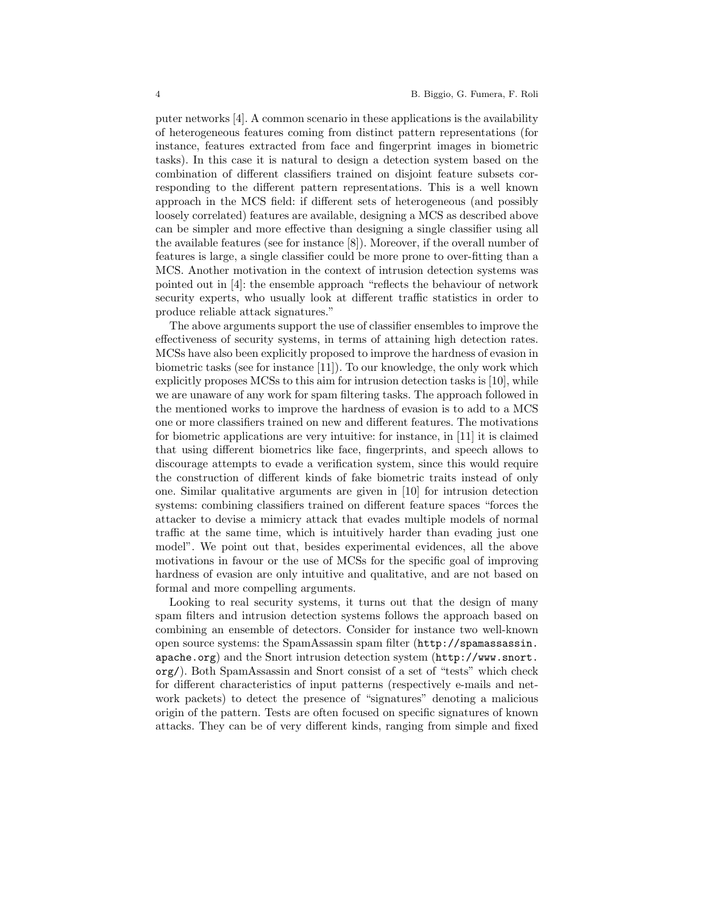puter networks [4]. A common scenario in these applications is the availability of heterogeneous features coming from distinct pattern representations (for instance, features extracted from face and fingerprint images in biometric tasks). In this case it is natural to design a detection system based on the combination of different classifiers trained on disjoint feature subsets corresponding to the different pattern representations. This is a well known approach in the MCS field: if different sets of heterogeneous (and possibly loosely correlated) features are available, designing a MCS as described above can be simpler and more effective than designing a single classifier using all the available features (see for instance [8]). Moreover, if the overall number of features is large, a single classifier could be more prone to over-fitting than a MCS. Another motivation in the context of intrusion detection systems was pointed out in [4]: the ensemble approach "reflects the behaviour of network security experts, who usually look at different traffic statistics in order to produce reliable attack signatures."

The above arguments support the use of classifier ensembles to improve the effectiveness of security systems, in terms of attaining high detection rates. MCSs have also been explicitly proposed to improve the hardness of evasion in biometric tasks (see for instance [11]). To our knowledge, the only work which explicitly proposes MCSs to this aim for intrusion detection tasks is [10], while we are unaware of any work for spam filtering tasks. The approach followed in the mentioned works to improve the hardness of evasion is to add to a MCS one or more classifiers trained on new and different features. The motivations for biometric applications are very intuitive: for instance, in [11] it is claimed that using different biometrics like face, fingerprints, and speech allows to discourage attempts to evade a verification system, since this would require the construction of different kinds of fake biometric traits instead of only one. Similar qualitative arguments are given in [10] for intrusion detection systems: combining classifiers trained on different feature spaces "forces the attacker to devise a mimicry attack that evades multiple models of normal traffic at the same time, which is intuitively harder than evading just one model". We point out that, besides experimental evidences, all the above motivations in favour or the use of MCSs for the specific goal of improving hardness of evasion are only intuitive and qualitative, and are not based on formal and more compelling arguments.

Looking to real security systems, it turns out that the design of many spam filters and intrusion detection systems follows the approach based on combining an ensemble of detectors. Consider for instance two well-known open source systems: the SpamAssassin spam filter (http://spamassassin. apache.org) and the Snort intrusion detection system (http://www.snort. org/). Both SpamAssassin and Snort consist of a set of "tests" which check for different characteristics of input patterns (respectively e-mails and network packets) to detect the presence of "signatures" denoting a malicious origin of the pattern. Tests are often focused on specific signatures of known attacks. They can be of very different kinds, ranging from simple and fixed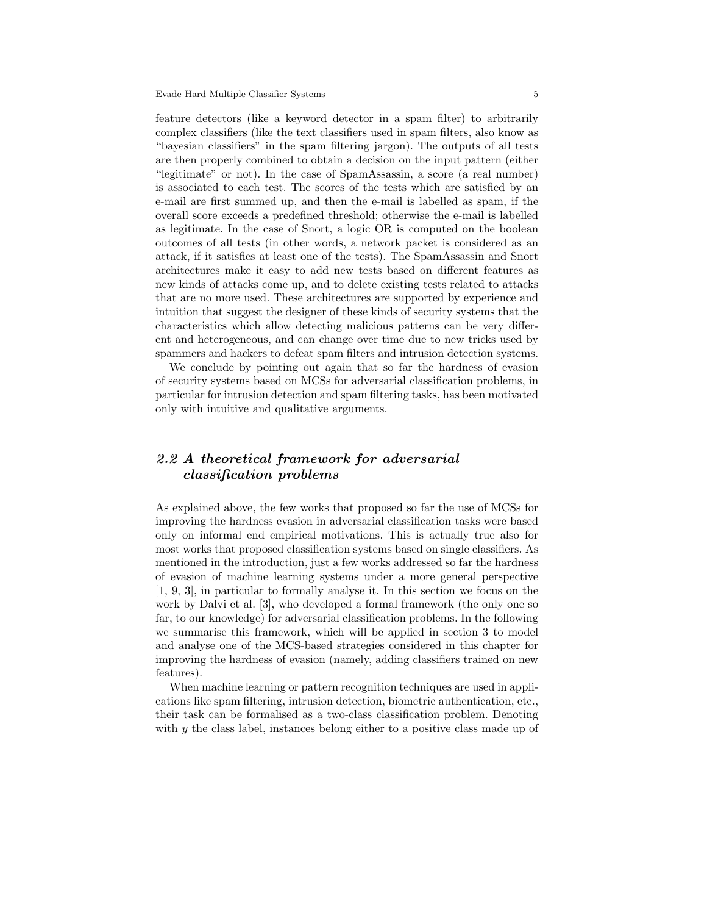feature detectors (like a keyword detector in a spam filter) to arbitrarily complex classifiers (like the text classifiers used in spam filters, also know as "bayesian classifiers" in the spam filtering jargon). The outputs of all tests are then properly combined to obtain a decision on the input pattern (either "legitimate" or not). In the case of SpamAssassin, a score (a real number) is associated to each test. The scores of the tests which are satisfied by an e-mail are first summed up, and then the e-mail is labelled as spam, if the overall score exceeds a predefined threshold; otherwise the e-mail is labelled as legitimate. In the case of Snort, a logic OR is computed on the boolean outcomes of all tests (in other words, a network packet is considered as an attack, if it satisfies at least one of the tests). The SpamAssassin and Snort architectures make it easy to add new tests based on different features as new kinds of attacks come up, and to delete existing tests related to attacks that are no more used. These architectures are supported by experience and intuition that suggest the designer of these kinds of security systems that the characteristics which allow detecting malicious patterns can be very different and heterogeneous, and can change over time due to new tricks used by spammers and hackers to defeat spam filters and intrusion detection systems.

We conclude by pointing out again that so far the hardness of evasion of security systems based on MCSs for adversarial classification problems, in particular for intrusion detection and spam filtering tasks, has been motivated only with intuitive and qualitative arguments.

# 2.2 A theoretical framework for adversarial classification problems

As explained above, the few works that proposed so far the use of MCSs for improving the hardness evasion in adversarial classification tasks were based only on informal end empirical motivations. This is actually true also for most works that proposed classification systems based on single classifiers. As mentioned in the introduction, just a few works addressed so far the hardness of evasion of machine learning systems under a more general perspective [1, 9, 3], in particular to formally analyse it. In this section we focus on the work by Dalvi et al. [3], who developed a formal framework (the only one so far, to our knowledge) for adversarial classification problems. In the following we summarise this framework, which will be applied in section 3 to model and analyse one of the MCS-based strategies considered in this chapter for improving the hardness of evasion (namely, adding classifiers trained on new features).

When machine learning or pattern recognition techniques are used in applications like spam filtering, intrusion detection, biometric authentication, etc., their task can be formalised as a two-class classification problem. Denoting with  $y$  the class label, instances belong either to a positive class made up of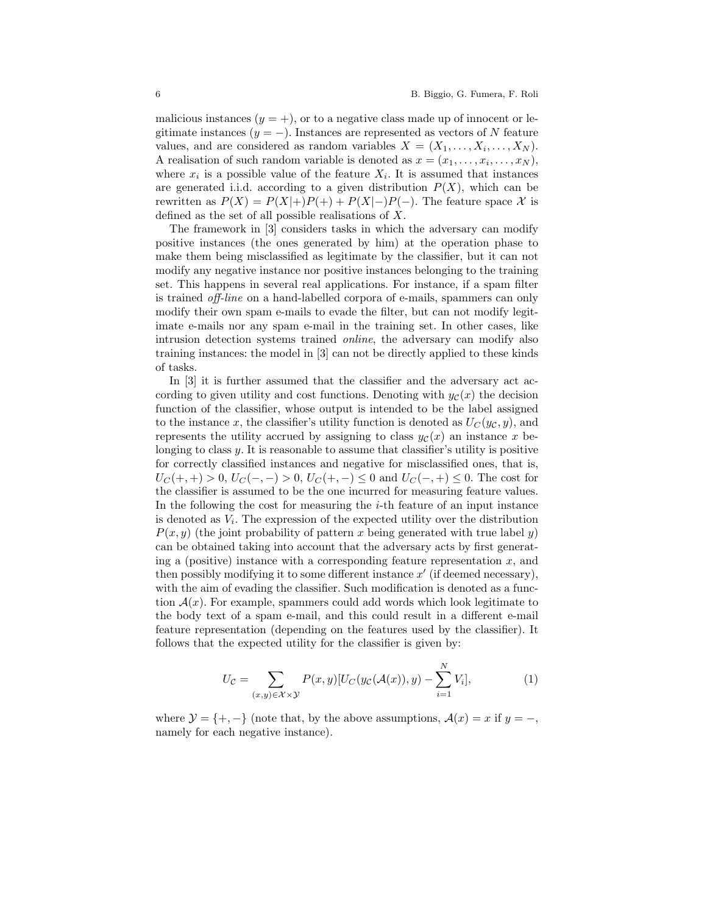malicious instances  $(y = +)$ , or to a negative class made up of innocent or legitimate instances  $(y = -)$ . Instances are represented as vectors of N feature values, and are considered as random variables  $X = (X_1, \ldots, X_i, \ldots, X_N)$ . A realisation of such random variable is denoted as  $x = (x_1, \ldots, x_i, \ldots, x_N)$ , where  $x_i$  is a possible value of the feature  $X_i$ . It is assumed that instances are generated i.i.d. according to a given distribution  $P(X)$ , which can be rewritten as  $P(X) = P(X|+)P(+) + P(X|-)P(-)$ . The feature space X is defined as the set of all possible realisations of X.

The framework in [3] considers tasks in which the adversary can modify positive instances (the ones generated by him) at the operation phase to make them being misclassified as legitimate by the classifier, but it can not modify any negative instance nor positive instances belonging to the training set. This happens in several real applications. For instance, if a spam filter is trained off-line on a hand-labelled corpora of e-mails, spammers can only modify their own spam e-mails to evade the filter, but can not modify legitimate e-mails nor any spam e-mail in the training set. In other cases, like intrusion detection systems trained online, the adversary can modify also training instances: the model in [3] can not be directly applied to these kinds of tasks.

In [3] it is further assumed that the classifier and the adversary act according to given utility and cost functions. Denoting with  $y_c(x)$  the decision function of the classifier, whose output is intended to be the label assigned to the instance x, the classifier's utility function is denoted as  $U_C(y_c, y)$ , and represents the utility accrued by assigning to class  $y_{\mathcal{C}}(x)$  an instance x belonging to class  $y$ . It is reasonable to assume that classifier's utility is positive for correctly classified instances and negative for misclassified ones, that is,  $U_C(+,+) > 0, U_C(-,-) > 0, U_C(+,-) \leq 0$  and  $U_C(-,+) \leq 0$ . The cost for the classifier is assumed to be the one incurred for measuring feature values. In the following the cost for measuring the  $i$ -th feature of an input instance is denoted as  $V_i$ . The expression of the expected utility over the distribution  $P(x, y)$  (the joint probability of pattern x being generated with true label y) can be obtained taking into account that the adversary acts by first generating a (positive) instance with a corresponding feature representation  $x$ , and then possibly modifying it to some different instance  $x'$  (if deemed necessary), with the aim of evading the classifier. Such modification is denoted as a function  $A(x)$ . For example, spammers could add words which look legitimate to the body text of a spam e-mail, and this could result in a different e-mail feature representation (depending on the features used by the classifier). It follows that the expected utility for the classifier is given by:

$$
U_{\mathcal{C}} = \sum_{(x,y)\in\mathcal{X}\times\mathcal{Y}} P(x,y)[U_{C}(y_{\mathcal{C}}(\mathcal{A}(x)),y) - \sum_{i=1}^{N} V_i],
$$
\n(1)

where  $\mathcal{Y} = \{+, -\}$  (note that, by the above assumptions,  $\mathcal{A}(x) = x$  if  $y = -$ , namely for each negative instance).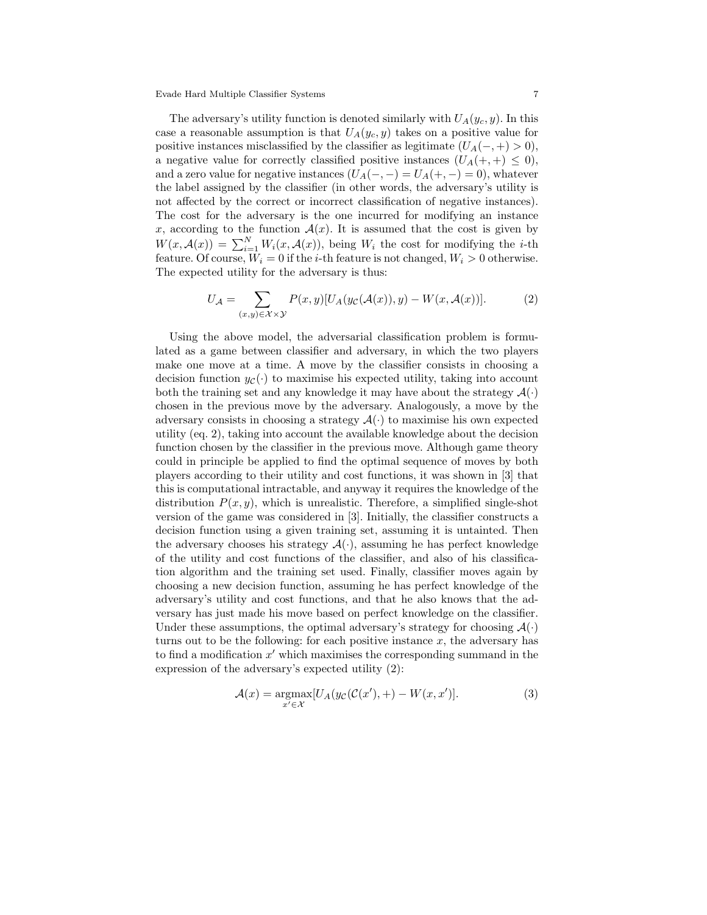Evade Hard Multiple Classifier Systems 7

The adversary's utility function is denoted similarly with  $U_A(y_c, y)$ . In this case a reasonable assumption is that  $U_A(y_c, y)$  takes on a positive value for positive instances misclassified by the classifier as legitimate  $(U_A(-, +) > 0)$ , a negative value for correctly classified positive instances  $(U_A(+, +) \leq 0)$ , and a zero value for negative instances  $(U_A(-, -) = U_A(+, -) = 0)$ , whatever the label assigned by the classifier (in other words, the adversary's utility is not affected by the correct or incorrect classification of negative instances). The cost for the adversary is the one incurred for modifying an instance x, according to the function  $A(x)$ . It is assumed that the cost is given by  $W(x, \mathcal{A}(x)) = \sum_{i=1}^{N} W_i(x, \mathcal{A}(x))$ , being  $W_i$  the cost for modifying the *i*-th feature. Of course,  $W_i = 0$  if the *i*-th feature is not changed,  $W_i > 0$  otherwise. The expected utility for the adversary is thus:

$$
U_{\mathcal{A}} = \sum_{(x,y)\in\mathcal{X}\times\mathcal{Y}} P(x,y)[U_{\mathcal{A}}(y_{\mathcal{C}}(\mathcal{A}(x)),y) - W(x,\mathcal{A}(x))].\tag{2}
$$

Using the above model, the adversarial classification problem is formulated as a game between classifier and adversary, in which the two players make one move at a time. A move by the classifier consists in choosing a decision function  $y_c(\cdot)$  to maximise his expected utility, taking into account both the training set and any knowledge it may have about the strategy  $\mathcal{A}(\cdot)$ chosen in the previous move by the adversary. Analogously, a move by the adversary consists in choosing a strategy  $\mathcal{A}(\cdot)$  to maximise his own expected utility (eq. 2), taking into account the available knowledge about the decision function chosen by the classifier in the previous move. Although game theory could in principle be applied to find the optimal sequence of moves by both players according to their utility and cost functions, it was shown in [3] that this is computational intractable, and anyway it requires the knowledge of the distribution  $P(x, y)$ , which is unrealistic. Therefore, a simplified single-shot version of the game was considered in [3]. Initially, the classifier constructs a decision function using a given training set, assuming it is untainted. Then the adversary chooses his strategy  $\mathcal{A}(\cdot)$ , assuming he has perfect knowledge of the utility and cost functions of the classifier, and also of his classification algorithm and the training set used. Finally, classifier moves again by choosing a new decision function, assuming he has perfect knowledge of the adversary's utility and cost functions, and that he also knows that the adversary has just made his move based on perfect knowledge on the classifier. Under these assumptions, the optimal adversary's strategy for choosing  $\mathcal{A}(\cdot)$ turns out to be the following: for each positive instance  $x$ , the adversary has to find a modification  $x'$  which maximises the corresponding summand in the expression of the adversary's expected utility (2):

$$
\mathcal{A}(x) = \underset{x' \in \mathcal{X}}{\operatorname{argmax}} [U_A(y_C(\mathcal{C}(x'), +) - W(x, x')]. \tag{3}
$$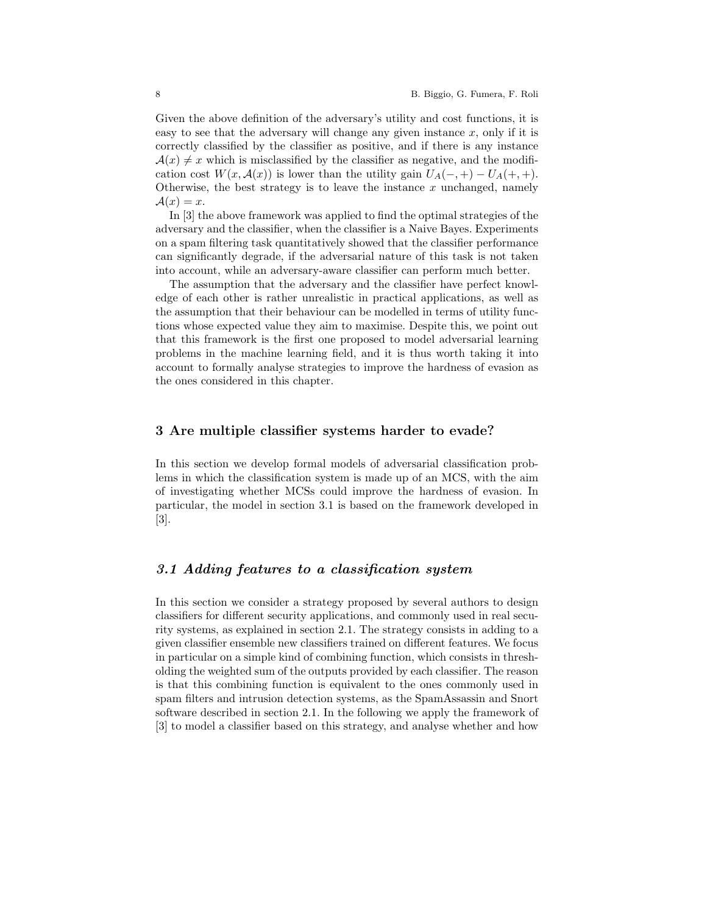Given the above definition of the adversary's utility and cost functions, it is easy to see that the adversary will change any given instance  $x$ , only if it is correctly classified by the classifier as positive, and if there is any instance  $A(x) \neq x$  which is misclassified by the classifier as negative, and the modification cost  $W(x, \mathcal{A}(x))$  is lower than the utility gain  $U_A(-, +) - U_A(+, +)$ . Otherwise, the best strategy is to leave the instance  $x$  unchanged, namely  $\mathcal{A}(x) = x.$ 

In [3] the above framework was applied to find the optimal strategies of the adversary and the classifier, when the classifier is a Naive Bayes. Experiments on a spam filtering task quantitatively showed that the classifier performance can significantly degrade, if the adversarial nature of this task is not taken into account, while an adversary-aware classifier can perform much better.

The assumption that the adversary and the classifier have perfect knowledge of each other is rather unrealistic in practical applications, as well as the assumption that their behaviour can be modelled in terms of utility functions whose expected value they aim to maximise. Despite this, we point out that this framework is the first one proposed to model adversarial learning problems in the machine learning field, and it is thus worth taking it into account to formally analyse strategies to improve the hardness of evasion as the ones considered in this chapter.

#### 3 Are multiple classifier systems harder to evade?

In this section we develop formal models of adversarial classification problems in which the classification system is made up of an MCS, with the aim of investigating whether MCSs could improve the hardness of evasion. In particular, the model in section 3.1 is based on the framework developed in [3].

#### 3.1 Adding features to a classification system

In this section we consider a strategy proposed by several authors to design classifiers for different security applications, and commonly used in real security systems, as explained in section 2.1. The strategy consists in adding to a given classifier ensemble new classifiers trained on different features. We focus in particular on a simple kind of combining function, which consists in thresholding the weighted sum of the outputs provided by each classifier. The reason is that this combining function is equivalent to the ones commonly used in spam filters and intrusion detection systems, as the SpamAssassin and Snort software described in section 2.1. In the following we apply the framework of [3] to model a classifier based on this strategy, and analyse whether and how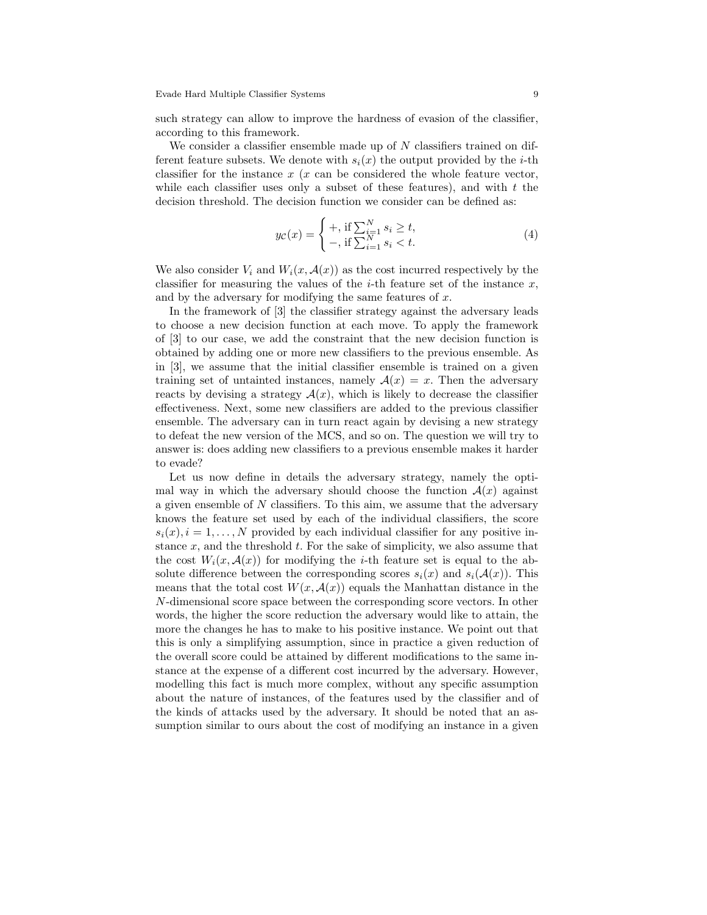such strategy can allow to improve the hardness of evasion of the classifier, according to this framework.

We consider a classifier ensemble made up of  $N$  classifiers trained on different feature subsets. We denote with  $s_i(x)$  the output provided by the *i*-th classifier for the instance  $x(x)$  can be considered the whole feature vector, while each classifier uses only a subset of these features), and with  $t$  the decision threshold. The decision function we consider can be defined as:

$$
y_{\mathcal{C}}(x) = \begin{cases} +, \text{ if } \sum_{i=1}^{N} s_i \ge t, \\ -, \text{ if } \sum_{i=1}^{N} s_i < t. \end{cases} \tag{4}
$$

We also consider  $V_i$  and  $W_i(x, \mathcal{A}(x))$  as the cost incurred respectively by the classifier for measuring the values of the *i*-th feature set of the instance  $x$ , and by the adversary for modifying the same features of  $x$ .

In the framework of [3] the classifier strategy against the adversary leads to choose a new decision function at each move. To apply the framework of [3] to our case, we add the constraint that the new decision function is obtained by adding one or more new classifiers to the previous ensemble. As in [3], we assume that the initial classifier ensemble is trained on a given training set of untainted instances, namely  $\mathcal{A}(x) = x$ . Then the adversary reacts by devising a strategy  $A(x)$ , which is likely to decrease the classifier effectiveness. Next, some new classifiers are added to the previous classifier ensemble. The adversary can in turn react again by devising a new strategy to defeat the new version of the MCS, and so on. The question we will try to answer is: does adding new classifiers to a previous ensemble makes it harder to evade?

Let us now define in details the adversary strategy, namely the optimal way in which the adversary should choose the function  $\mathcal{A}(x)$  against a given ensemble of N classifiers. To this aim, we assume that the adversary knows the feature set used by each of the individual classifiers, the score  $s_i(x), i = 1, \ldots, N$  provided by each individual classifier for any positive instance  $x$ , and the threshold  $t$ . For the sake of simplicity, we also assume that the cost  $W_i(x, \mathcal{A}(x))$  for modifying the *i*-th feature set is equal to the absolute difference between the corresponding scores  $s_i(x)$  and  $s_i(\mathcal{A}(x))$ . This means that the total cost  $W(x, \mathcal{A}(x))$  equals the Manhattan distance in the N-dimensional score space between the corresponding score vectors. In other words, the higher the score reduction the adversary would like to attain, the more the changes he has to make to his positive instance. We point out that this is only a simplifying assumption, since in practice a given reduction of the overall score could be attained by different modifications to the same instance at the expense of a different cost incurred by the adversary. However, modelling this fact is much more complex, without any specific assumption about the nature of instances, of the features used by the classifier and of the kinds of attacks used by the adversary. It should be noted that an assumption similar to ours about the cost of modifying an instance in a given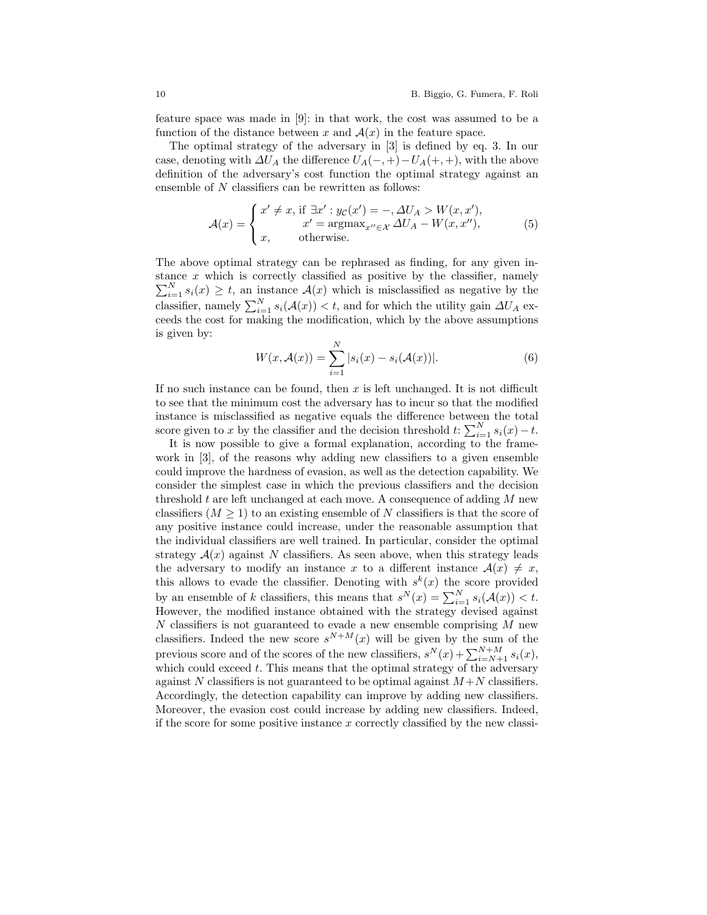feature space was made in [9]: in that work, the cost was assumed to be a function of the distance between x and  $\mathcal{A}(x)$  in the feature space.

The optimal strategy of the adversary in [3] is defined by eq. 3. In our case, denoting with  $\Delta U_A$  the difference  $U_A(-, +) - U_A(+, +)$ , with the above definition of the adversary's cost function the optimal strategy against an ensemble of N classifiers can be rewritten as follows:

$$
\mathcal{A}(x) = \begin{cases} x' \neq x, \text{ if } \exists x' : y_c(x') = -, \Delta U_A > W(x, x'), \\ x' = \operatorname{argmax}_{x'' \in \mathcal{X}} \Delta U_A - W(x, x''), \\ x, \qquad \text{otherwise.} \end{cases} \tag{5}
$$

The above optimal strategy can be rephrased as finding, for any given instance x which is correctly classified as positive by the classifier, namely  $\sum_{i=1}^{N} s_i(x) \geq t$ , an instance  $\mathcal{A}(x)$  which is misclassified as negative by the classifier, namely  $\sum_{i=1}^{N} s_i(\mathcal{A}(x)) < t$ , and for which the utility gain  $\Delta U_A$  exceeds the cost for making the modification, which by the above assumptions is given by:

$$
W(x, \mathcal{A}(x)) = \sum_{i=1}^{N} |s_i(x) - s_i(\mathcal{A}(x))|.
$$
 (6)

If no such instance can be found, then  $x$  is left unchanged. It is not difficult to see that the minimum cost the adversary has to incur so that the modified instance is misclassified as negative equals the difference between the total score given to x by the classifier and the decision threshold  $t: \sum_{i=1}^{N} s_i(x) - t$ .

It is now possible to give a formal explanation, according to the framework in [3], of the reasons why adding new classifiers to a given ensemble could improve the hardness of evasion, as well as the detection capability. We consider the simplest case in which the previous classifiers and the decision threshold t are left unchanged at each move. A consequence of adding  $M$  new classifiers  $(M \geq 1)$  to an existing ensemble of N classifiers is that the score of any positive instance could increase, under the reasonable assumption that the individual classifiers are well trained. In particular, consider the optimal strategy  $A(x)$  against N classifiers. As seen above, when this strategy leads the adversary to modify an instance x to a different instance  $\mathcal{A}(x) \neq x$ , this allows to evade the classifier. Denoting with  $s^k(x)$  the score provided by an ensemble of k classifiers, this means that  $s^N(x) = \sum_{i=1}^N s_i(\mathcal{A}(x)) < t$ . However, the modified instance obtained with the strategy devised against N classifiers is not guaranteed to evade a new ensemble comprising M new classifiers. Indeed the new score  $s^{N+M}(x)$  will be given by the sum of the previous score and of the scores of the new classifiers,  $s^N(x) + \sum_{i=N+1}^{N+M} s_i(x)$ , which could exceed  $t$ . This means that the optimal strategy of the adversary against N classifiers is not guaranteed to be optimal against  $M+N$  classifiers. Accordingly, the detection capability can improve by adding new classifiers. Moreover, the evasion cost could increase by adding new classifiers. Indeed, if the score for some positive instance  $x$  correctly classified by the new classi-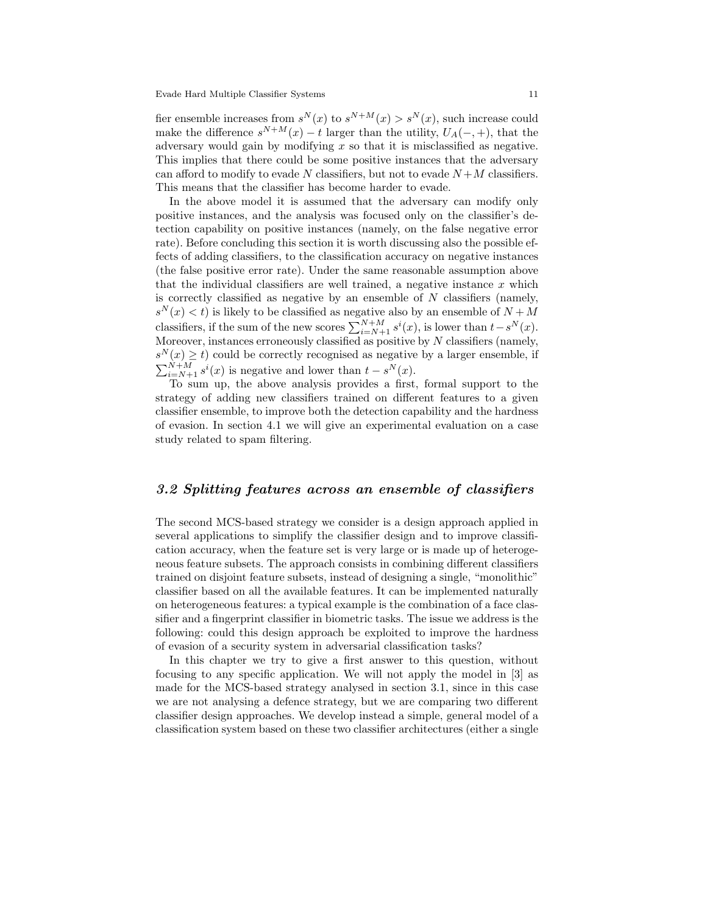fier ensemble increases from  $s^N(x)$  to  $s^{N+M}(x) > s^N(x)$ , such increase could make the difference  $s^{N+M}(x) - t$  larger than the utility,  $U_A(-, +)$ , that the adversary would gain by modifying  $x$  so that it is misclassified as negative. This implies that there could be some positive instances that the adversary can afford to modify to evade N classifiers, but not to evade  $N+M$  classifiers. This means that the classifier has become harder to evade.

In the above model it is assumed that the adversary can modify only positive instances, and the analysis was focused only on the classifier's detection capability on positive instances (namely, on the false negative error rate). Before concluding this section it is worth discussing also the possible effects of adding classifiers, to the classification accuracy on negative instances (the false positive error rate). Under the same reasonable assumption above that the individual classifiers are well trained, a negative instance  $x$  which is correctly classified as negative by an ensemble of  $N$  classifiers (namely,  $s^{N}(x) < t$  is likely to be classified as negative also by an ensemble of  $N + M$ classifiers, if the sum of the new scores  $\sum_{i=N+1}^{N+M} s^i(x)$ , is lower than  $t-s^N(x)$ . Moreover, instances erroneously classified as positive by  $N$  classifiers (namely,  $s^{N}(x) \geq t$  could be correctly recognised as negative by a larger ensemble, if  $\sum_{i=N+1}^{N+M} s^i(x)$  is negative and lower than  $t - s^N(x)$ .

To sum up, the above analysis provides a first, formal support to the strategy of adding new classifiers trained on different features to a given classifier ensemble, to improve both the detection capability and the hardness of evasion. In section 4.1 we will give an experimental evaluation on a case study related to spam filtering.

#### 3.2 Splitting features across an ensemble of classifiers

The second MCS-based strategy we consider is a design approach applied in several applications to simplify the classifier design and to improve classification accuracy, when the feature set is very large or is made up of heterogeneous feature subsets. The approach consists in combining different classifiers trained on disjoint feature subsets, instead of designing a single, "monolithic" classifier based on all the available features. It can be implemented naturally on heterogeneous features: a typical example is the combination of a face classifier and a fingerprint classifier in biometric tasks. The issue we address is the following: could this design approach be exploited to improve the hardness of evasion of a security system in adversarial classification tasks?

In this chapter we try to give a first answer to this question, without focusing to any specific application. We will not apply the model in [3] as made for the MCS-based strategy analysed in section 3.1, since in this case we are not analysing a defence strategy, but we are comparing two different classifier design approaches. We develop instead a simple, general model of a classification system based on these two classifier architectures (either a single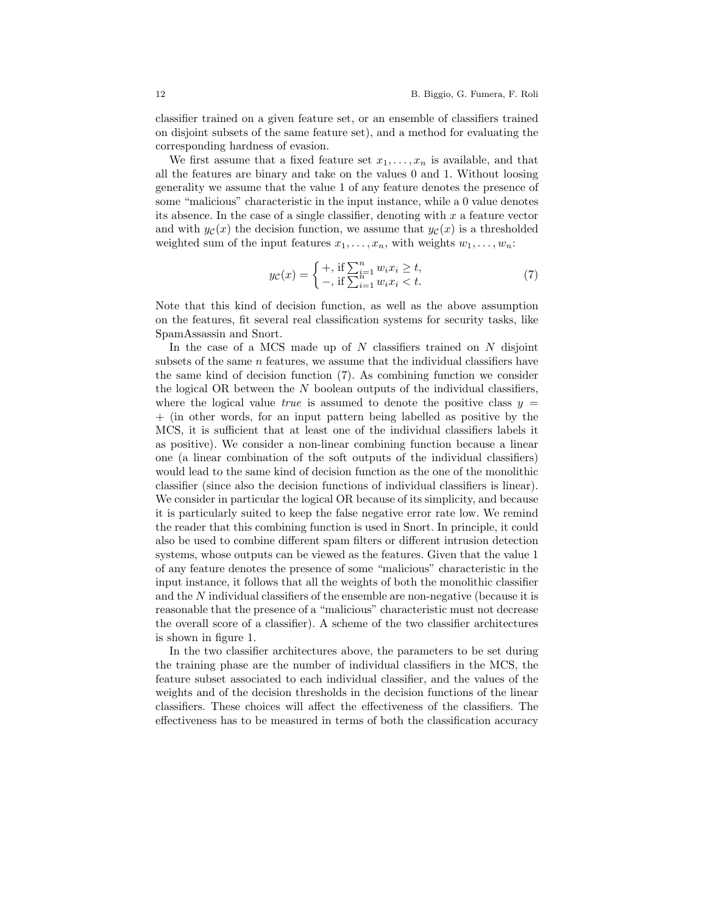classifier trained on a given feature set, or an ensemble of classifiers trained on disjoint subsets of the same feature set), and a method for evaluating the corresponding hardness of evasion.

We first assume that a fixed feature set  $x_1, \ldots, x_n$  is available, and that all the features are binary and take on the values 0 and 1. Without loosing generality we assume that the value 1 of any feature denotes the presence of some "malicious" characteristic in the input instance, while a 0 value denotes its absence. In the case of a single classifier, denoting with  $x$  a feature vector and with  $y_{\mathcal{C}}(x)$  the decision function, we assume that  $y_{\mathcal{C}}(x)$  is a thresholded weighted sum of the input features  $x_1, \ldots, x_n$ , with weights  $w_1, \ldots, w_n$ :

$$
y_{\mathcal{C}}(x) = \begin{cases} +, \text{ if } \sum_{i=1}^{n} w_i x_i \ge t, \\ -, \text{ if } \sum_{i=1}^{n} w_i x_i < t. \end{cases} \tag{7}
$$

Note that this kind of decision function, as well as the above assumption on the features, fit several real classification systems for security tasks, like SpamAssassin and Snort.

In the case of a MCS made up of N classifiers trained on N disjoint subsets of the same  $n$  features, we assume that the individual classifiers have the same kind of decision function (7). As combining function we consider the logical OR between the  $N$  boolean outputs of the individual classifiers, where the logical value *true* is assumed to denote the positive class  $y =$ + (in other words, for an input pattern being labelled as positive by the MCS, it is sufficient that at least one of the individual classifiers labels it as positive). We consider a non-linear combining function because a linear one (a linear combination of the soft outputs of the individual classifiers) would lead to the same kind of decision function as the one of the monolithic classifier (since also the decision functions of individual classifiers is linear). We consider in particular the logical OR because of its simplicity, and because it is particularly suited to keep the false negative error rate low. We remind the reader that this combining function is used in Snort. In principle, it could also be used to combine different spam filters or different intrusion detection systems, whose outputs can be viewed as the features. Given that the value 1 of any feature denotes the presence of some "malicious" characteristic in the input instance, it follows that all the weights of both the monolithic classifier and the  $N$  individual classifiers of the ensemble are non-negative (because it is reasonable that the presence of a "malicious" characteristic must not decrease the overall score of a classifier). A scheme of the two classifier architectures is shown in figure 1.

In the two classifier architectures above, the parameters to be set during the training phase are the number of individual classifiers in the MCS, the feature subset associated to each individual classifier, and the values of the weights and of the decision thresholds in the decision functions of the linear classifiers. These choices will affect the effectiveness of the classifiers. The effectiveness has to be measured in terms of both the classification accuracy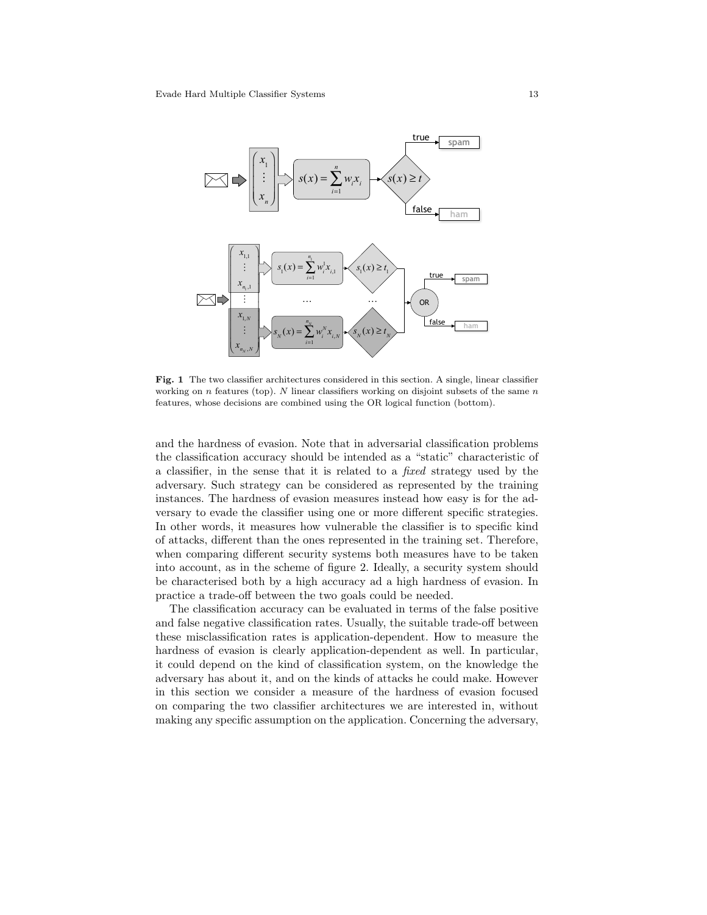

Fig. 1 The two classifier architectures considered in this section. A single, linear classifier working on n features (top). N linear classifiers working on disjoint subsets of the same  $n$ features, whose decisions are combined using the OR logical function (bottom).

and the hardness of evasion. Note that in adversarial classification problems the classification accuracy should be intended as a "static" characteristic of a classifier, in the sense that it is related to a fixed strategy used by the adversary. Such strategy can be considered as represented by the training instances. The hardness of evasion measures instead how easy is for the adversary to evade the classifier using one or more different specific strategies. In other words, it measures how vulnerable the classifier is to specific kind of attacks, different than the ones represented in the training set. Therefore, when comparing different security systems both measures have to be taken into account, as in the scheme of figure 2. Ideally, a security system should be characterised both by a high accuracy ad a high hardness of evasion. In practice a trade-off between the two goals could be needed.

The classification accuracy can be evaluated in terms of the false positive and false negative classification rates. Usually, the suitable trade-off between these misclassification rates is application-dependent. How to measure the hardness of evasion is clearly application-dependent as well. In particular, it could depend on the kind of classification system, on the knowledge the adversary has about it, and on the kinds of attacks he could make. However in this section we consider a measure of the hardness of evasion focused on comparing the two classifier architectures we are interested in, without making any specific assumption on the application. Concerning the adversary,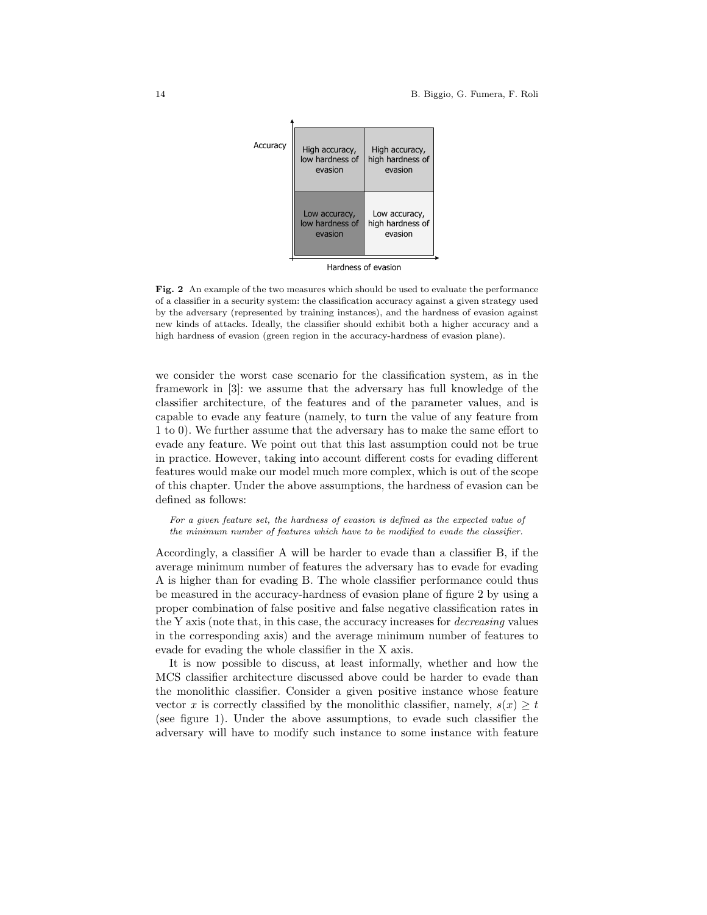| Accuracy | High accuracy,<br>low hardness of<br>evasion | High accuracy,<br>high hardness of<br>evasion |
|----------|----------------------------------------------|-----------------------------------------------|
|          | Low accuracy,<br>low hardness of<br>evasion  | Low accuracy,<br>high hardness of<br>evasion  |

Hardness of evasion

Fig. 2 An example of the two measures which should be used to evaluate the performance of a classifier in a security system: the classification accuracy against a given strategy used by the adversary (represented by training instances), and the hardness of evasion against new kinds of attacks. Ideally, the classifier should exhibit both a higher accuracy and a high hardness of evasion (green region in the accuracy-hardness of evasion plane).

we consider the worst case scenario for the classification system, as in the framework in [3]: we assume that the adversary has full knowledge of the classifier architecture, of the features and of the parameter values, and is capable to evade any feature (namely, to turn the value of any feature from 1 to 0). We further assume that the adversary has to make the same effort to evade any feature. We point out that this last assumption could not be true in practice. However, taking into account different costs for evading different features would make our model much more complex, which is out of the scope of this chapter. Under the above assumptions, the hardness of evasion can be defined as follows:

For a given feature set, the hardness of evasion is defined as the expected value of the minimum number of features which have to be modified to evade the classifier.

Accordingly, a classifier A will be harder to evade than a classifier B, if the average minimum number of features the adversary has to evade for evading A is higher than for evading B. The whole classifier performance could thus be measured in the accuracy-hardness of evasion plane of figure 2 by using a proper combination of false positive and false negative classification rates in the Y axis (note that, in this case, the accuracy increases for decreasing values in the corresponding axis) and the average minimum number of features to evade for evading the whole classifier in the X axis.

It is now possible to discuss, at least informally, whether and how the MCS classifier architecture discussed above could be harder to evade than the monolithic classifier. Consider a given positive instance whose feature vector x is correctly classified by the monolithic classifier, namely,  $s(x) \geq t$ (see figure 1). Under the above assumptions, to evade such classifier the adversary will have to modify such instance to some instance with feature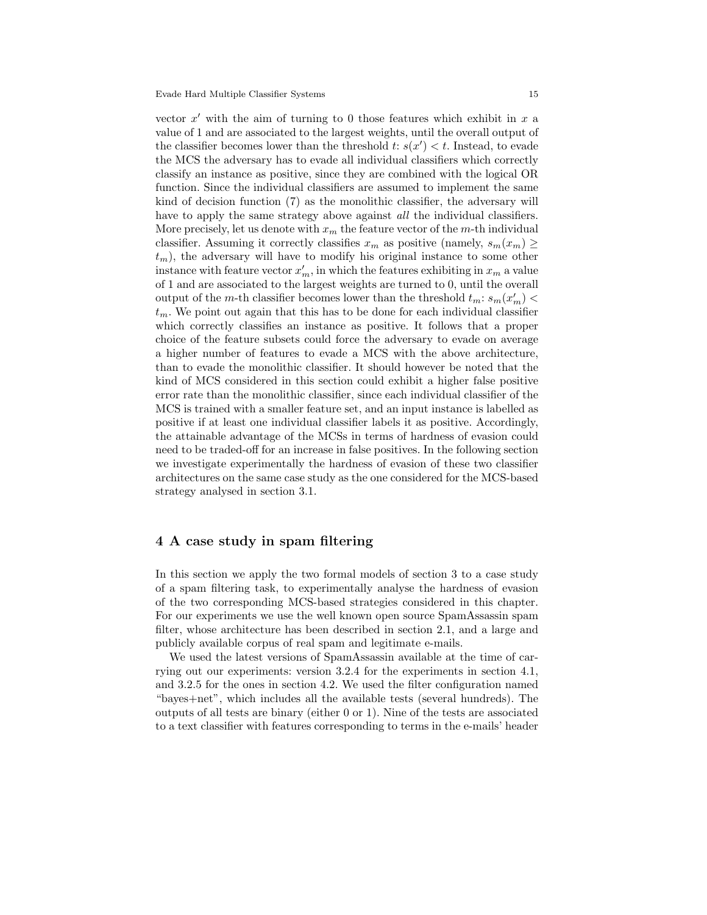vector  $x'$  with the aim of turning to 0 those features which exhibit in  $x$  a value of 1 and are associated to the largest weights, until the overall output of the classifier becomes lower than the threshold  $t: s(x') < t$ . Instead, to evade the MCS the adversary has to evade all individual classifiers which correctly classify an instance as positive, since they are combined with the logical OR function. Since the individual classifiers are assumed to implement the same kind of decision function (7) as the monolithic classifier, the adversary will have to apply the same strategy above against *all* the individual classifiers. More precisely, let us denote with  $x_m$  the feature vector of the m-th individual classifier. Assuming it correctly classifies  $x_m$  as positive (namely,  $s_m(x_m) \geq$  $t_m$ ), the adversary will have to modify his original instance to some other instance with feature vector  $x'_m$ , in which the features exhibiting in  $x_m$  a value of 1 and are associated to the largest weights are turned to 0, until the overall output of the *m*-th classifier becomes lower than the threshold  $t_m$ :  $s_m(x'_m)$  <  $t_m$ . We point out again that this has to be done for each individual classifier which correctly classifies an instance as positive. It follows that a proper choice of the feature subsets could force the adversary to evade on average a higher number of features to evade a MCS with the above architecture, than to evade the monolithic classifier. It should however be noted that the kind of MCS considered in this section could exhibit a higher false positive error rate than the monolithic classifier, since each individual classifier of the MCS is trained with a smaller feature set, and an input instance is labelled as positive if at least one individual classifier labels it as positive. Accordingly, the attainable advantage of the MCSs in terms of hardness of evasion could need to be traded-off for an increase in false positives. In the following section we investigate experimentally the hardness of evasion of these two classifier architectures on the same case study as the one considered for the MCS-based strategy analysed in section 3.1.

### 4 A case study in spam filtering

In this section we apply the two formal models of section 3 to a case study of a spam filtering task, to experimentally analyse the hardness of evasion of the two corresponding MCS-based strategies considered in this chapter. For our experiments we use the well known open source SpamAssassin spam filter, whose architecture has been described in section 2.1, and a large and publicly available corpus of real spam and legitimate e-mails.

We used the latest versions of SpamAssassin available at the time of carrying out our experiments: version 3.2.4 for the experiments in section 4.1, and 3.2.5 for the ones in section 4.2. We used the filter configuration named "bayes+net", which includes all the available tests (several hundreds). The outputs of all tests are binary (either 0 or 1). Nine of the tests are associated to a text classifier with features corresponding to terms in the e-mails' header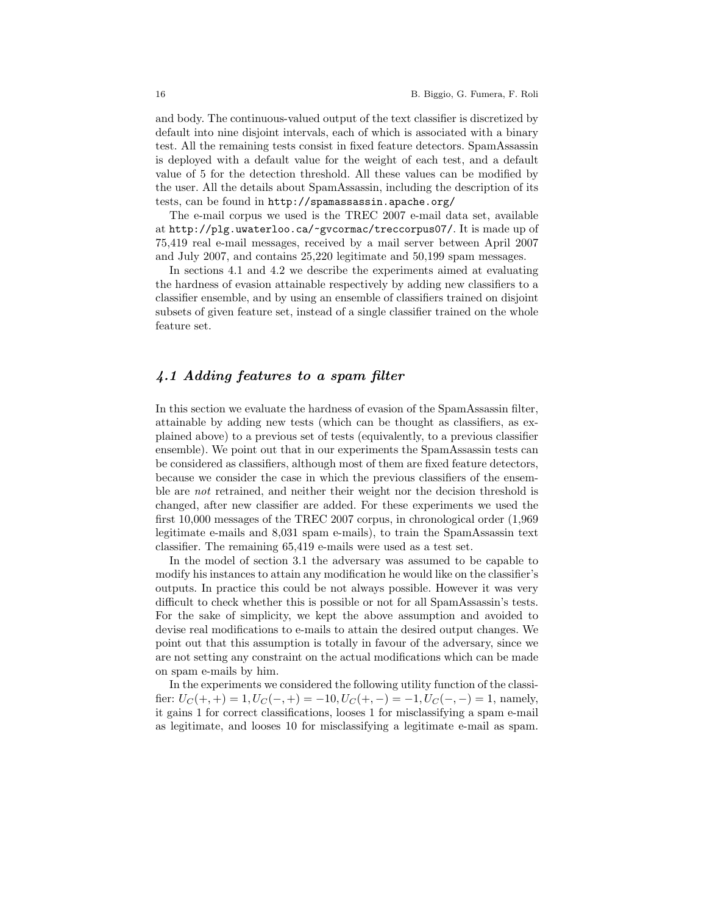and body. The continuous-valued output of the text classifier is discretized by default into nine disjoint intervals, each of which is associated with a binary test. All the remaining tests consist in fixed feature detectors. SpamAssassin is deployed with a default value for the weight of each test, and a default value of 5 for the detection threshold. All these values can be modified by the user. All the details about SpamAssassin, including the description of its tests, can be found in http://spamassassin.apache.org/

The e-mail corpus we used is the TREC 2007 e-mail data set, available at http://plg.uwaterloo.ca/~gvcormac/treccorpus07/. It is made up of 75,419 real e-mail messages, received by a mail server between April 2007 and July 2007, and contains 25,220 legitimate and 50,199 spam messages.

In sections 4.1 and 4.2 we describe the experiments aimed at evaluating the hardness of evasion attainable respectively by adding new classifiers to a classifier ensemble, and by using an ensemble of classifiers trained on disjoint subsets of given feature set, instead of a single classifier trained on the whole feature set.

### 4.1 Adding features to a spam filter

In this section we evaluate the hardness of evasion of the SpamAssassin filter, attainable by adding new tests (which can be thought as classifiers, as explained above) to a previous set of tests (equivalently, to a previous classifier ensemble). We point out that in our experiments the SpamAssassin tests can be considered as classifiers, although most of them are fixed feature detectors, because we consider the case in which the previous classifiers of the ensemble are not retrained, and neither their weight nor the decision threshold is changed, after new classifier are added. For these experiments we used the first 10,000 messages of the TREC 2007 corpus, in chronological order (1,969 legitimate e-mails and 8,031 spam e-mails), to train the SpamAssassin text classifier. The remaining 65,419 e-mails were used as a test set.

In the model of section 3.1 the adversary was assumed to be capable to modify his instances to attain any modification he would like on the classifier's outputs. In practice this could be not always possible. However it was very difficult to check whether this is possible or not for all SpamAssassin's tests. For the sake of simplicity, we kept the above assumption and avoided to devise real modifications to e-mails to attain the desired output changes. We point out that this assumption is totally in favour of the adversary, since we are not setting any constraint on the actual modifications which can be made on spam e-mails by him.

In the experiments we considered the following utility function of the classifier:  $U_C(+,+) = 1, U_C(-,+) = -10, U_C(+,-) = -1, U_C(-,-) = 1$ , namely, it gains 1 for correct classifications, looses 1 for misclassifying a spam e-mail as legitimate, and looses 10 for misclassifying a legitimate e-mail as spam.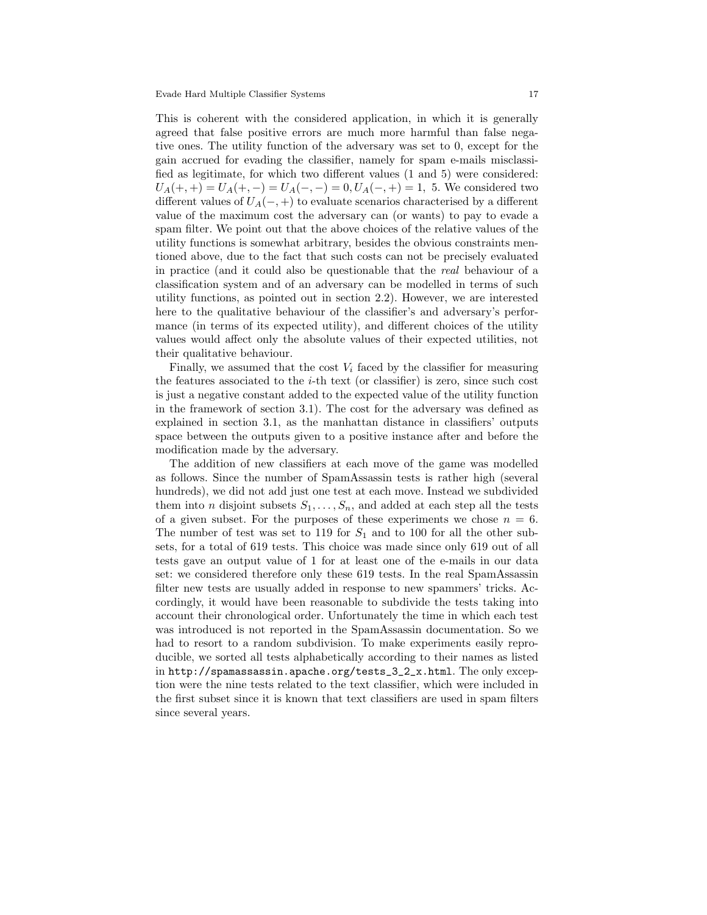This is coherent with the considered application, in which it is generally agreed that false positive errors are much more harmful than false negative ones. The utility function of the adversary was set to 0, except for the gain accrued for evading the classifier, namely for spam e-mails misclassified as legitimate, for which two different values (1 and 5) were considered:  $U_A(+,+)=U_A(+,-)=U_A(-,-)=0, U_A(-,+)=1, 5.$  We considered two different values of  $U_A(-,+)$  to evaluate scenarios characterised by a different value of the maximum cost the adversary can (or wants) to pay to evade a spam filter. We point out that the above choices of the relative values of the utility functions is somewhat arbitrary, besides the obvious constraints mentioned above, due to the fact that such costs can not be precisely evaluated in practice (and it could also be questionable that the real behaviour of a classification system and of an adversary can be modelled in terms of such utility functions, as pointed out in section 2.2). However, we are interested here to the qualitative behaviour of the classifier's and adversary's performance (in terms of its expected utility), and different choices of the utility values would affect only the absolute values of their expected utilities, not their qualitative behaviour.

Finally, we assumed that the cost  $V_i$  faced by the classifier for measuring the features associated to the  $i$ -th text (or classifier) is zero, since such cost is just a negative constant added to the expected value of the utility function in the framework of section 3.1). The cost for the adversary was defined as explained in section 3.1, as the manhattan distance in classifiers' outputs space between the outputs given to a positive instance after and before the modification made by the adversary.

The addition of new classifiers at each move of the game was modelled as follows. Since the number of SpamAssassin tests is rather high (several hundreds), we did not add just one test at each move. Instead we subdivided them into *n* disjoint subsets  $S_1, \ldots, S_n$ , and added at each step all the tests of a given subset. For the purposes of these experiments we chose  $n = 6$ . The number of test was set to 119 for  $S_1$  and to 100 for all the other subsets, for a total of 619 tests. This choice was made since only 619 out of all tests gave an output value of 1 for at least one of the e-mails in our data set: we considered therefore only these 619 tests. In the real SpamAssassin filter new tests are usually added in response to new spammers' tricks. Accordingly, it would have been reasonable to subdivide the tests taking into account their chronological order. Unfortunately the time in which each test was introduced is not reported in the SpamAssassin documentation. So we had to resort to a random subdivision. To make experiments easily reproducible, we sorted all tests alphabetically according to their names as listed in http://spamassassin.apache.org/tests\_3\_2\_x.html. The only exception were the nine tests related to the text classifier, which were included in the first subset since it is known that text classifiers are used in spam filters since several years.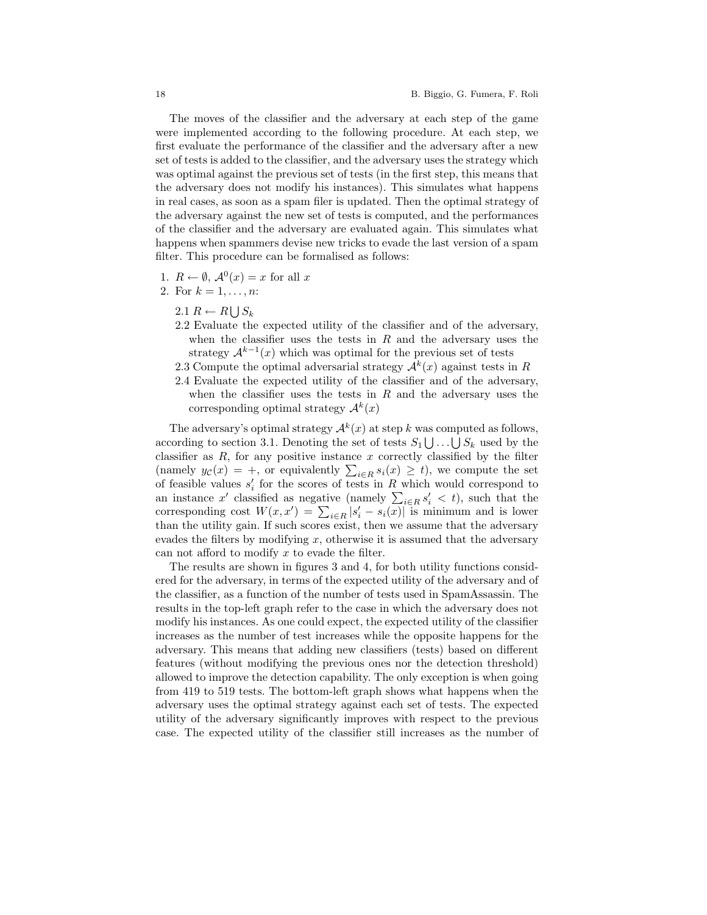The moves of the classifier and the adversary at each step of the game were implemented according to the following procedure. At each step, we first evaluate the performance of the classifier and the adversary after a new set of tests is added to the classifier, and the adversary uses the strategy which was optimal against the previous set of tests (in the first step, this means that the adversary does not modify his instances). This simulates what happens in real cases, as soon as a spam filer is updated. Then the optimal strategy of the adversary against the new set of tests is computed, and the performances of the classifier and the adversary are evaluated again. This simulates what happens when spammers devise new tricks to evade the last version of a spam filter. This procedure can be formalised as follows:

- 1.  $R \leftarrow \emptyset$ ,  $\mathcal{A}^0(x) = x$  for all x
- 2. For  $k = 1, ..., n$ :
	- $2.1 R \leftarrow R \bigcup S_k$
	- 2.2 Evaluate the expected utility of the classifier and of the adversary, when the classifier uses the tests in  $R$  and the adversary uses the strategy  $\mathcal{A}^{k-1}(x)$  which was optimal for the previous set of tests
	- 2.3 Compute the optimal adversarial strategy  $\mathcal{A}^k(x)$  against tests in R
	- 2.4 Evaluate the expected utility of the classifier and of the adversary, when the classifier uses the tests in  $R$  and the adversary uses the corresponding optimal strategy  $\mathcal{A}^k(x)$

The adversary's optimal strategy  $\mathcal{A}^k(x)$  at step k was computed as follows, according to section 3.1. Denoting the set of tests  $S_1 \bigcup \ldots \bigcup S_k$  used by the classifier as  $R$ , for any positive instance  $x$  correctly classified by the filter (namely  $y_c(x) = +$ , or equivalently  $\sum_{i \in R} s_i(x) \geq t$ ), we compute the set of feasible values  $s_i'$  for the scores of tests in R which would correspond to an instance x' classified as negative (namely  $\sum_{i\in R} s_i' < t$ ), such that the corresponding cost  $W(x, x') = \sum_{i \in R} |s'_i - s_i(x)|$  is minimum and is lower than the utility gain. If such scores exist, then we assume that the adversary evades the filters by modifying  $x$ , otherwise it is assumed that the adversary can not afford to modify  $x$  to evade the filter.

The results are shown in figures 3 and 4, for both utility functions considered for the adversary, in terms of the expected utility of the adversary and of the classifier, as a function of the number of tests used in SpamAssassin. The results in the top-left graph refer to the case in which the adversary does not modify his instances. As one could expect, the expected utility of the classifier increases as the number of test increases while the opposite happens for the adversary. This means that adding new classifiers (tests) based on different features (without modifying the previous ones nor the detection threshold) allowed to improve the detection capability. The only exception is when going from 419 to 519 tests. The bottom-left graph shows what happens when the adversary uses the optimal strategy against each set of tests. The expected utility of the adversary significantly improves with respect to the previous case. The expected utility of the classifier still increases as the number of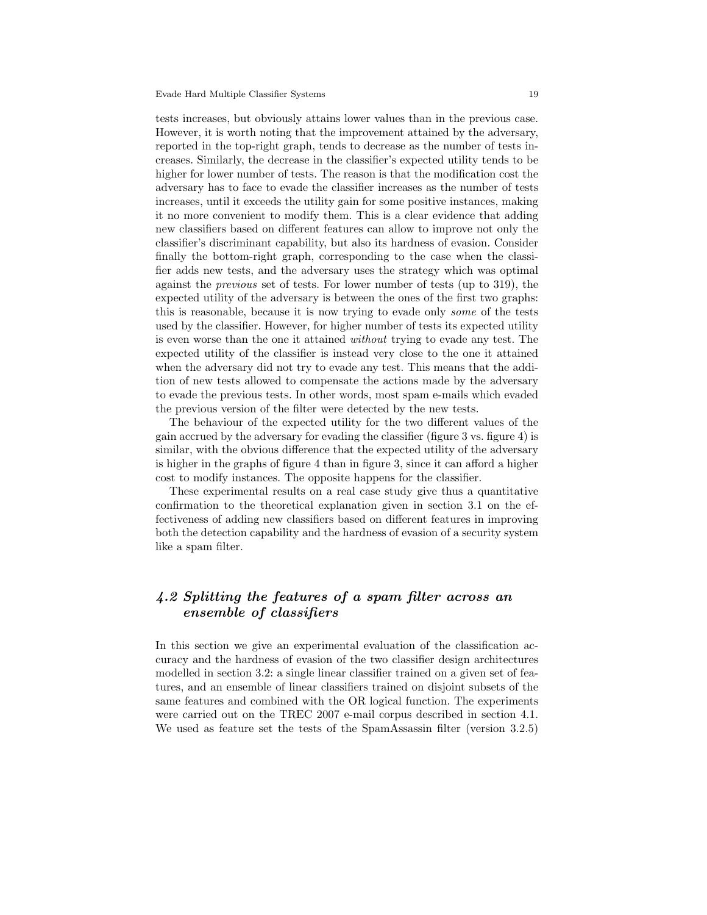tests increases, but obviously attains lower values than in the previous case. However, it is worth noting that the improvement attained by the adversary, reported in the top-right graph, tends to decrease as the number of tests increases. Similarly, the decrease in the classifier's expected utility tends to be higher for lower number of tests. The reason is that the modification cost the adversary has to face to evade the classifier increases as the number of tests increases, until it exceeds the utility gain for some positive instances, making it no more convenient to modify them. This is a clear evidence that adding new classifiers based on different features can allow to improve not only the classifier's discriminant capability, but also its hardness of evasion. Consider finally the bottom-right graph, corresponding to the case when the classifier adds new tests, and the adversary uses the strategy which was optimal against the previous set of tests. For lower number of tests (up to 319), the expected utility of the adversary is between the ones of the first two graphs: this is reasonable, because it is now trying to evade only some of the tests used by the classifier. However, for higher number of tests its expected utility is even worse than the one it attained without trying to evade any test. The expected utility of the classifier is instead very close to the one it attained when the adversary did not try to evade any test. This means that the addition of new tests allowed to compensate the actions made by the adversary to evade the previous tests. In other words, most spam e-mails which evaded the previous version of the filter were detected by the new tests.

The behaviour of the expected utility for the two different values of the gain accrued by the adversary for evading the classifier (figure 3 vs. figure 4) is similar, with the obvious difference that the expected utility of the adversary is higher in the graphs of figure 4 than in figure 3, since it can afford a higher cost to modify instances. The opposite happens for the classifier.

These experimental results on a real case study give thus a quantitative confirmation to the theoretical explanation given in section 3.1 on the effectiveness of adding new classifiers based on different features in improving both the detection capability and the hardness of evasion of a security system like a spam filter.

# 4.2 Splitting the features of a spam filter across an ensemble of classifiers

In this section we give an experimental evaluation of the classification accuracy and the hardness of evasion of the two classifier design architectures modelled in section 3.2: a single linear classifier trained on a given set of features, and an ensemble of linear classifiers trained on disjoint subsets of the same features and combined with the OR logical function. The experiments were carried out on the TREC 2007 e-mail corpus described in section 4.1. We used as feature set the tests of the SpamAssassin filter (version 3.2.5)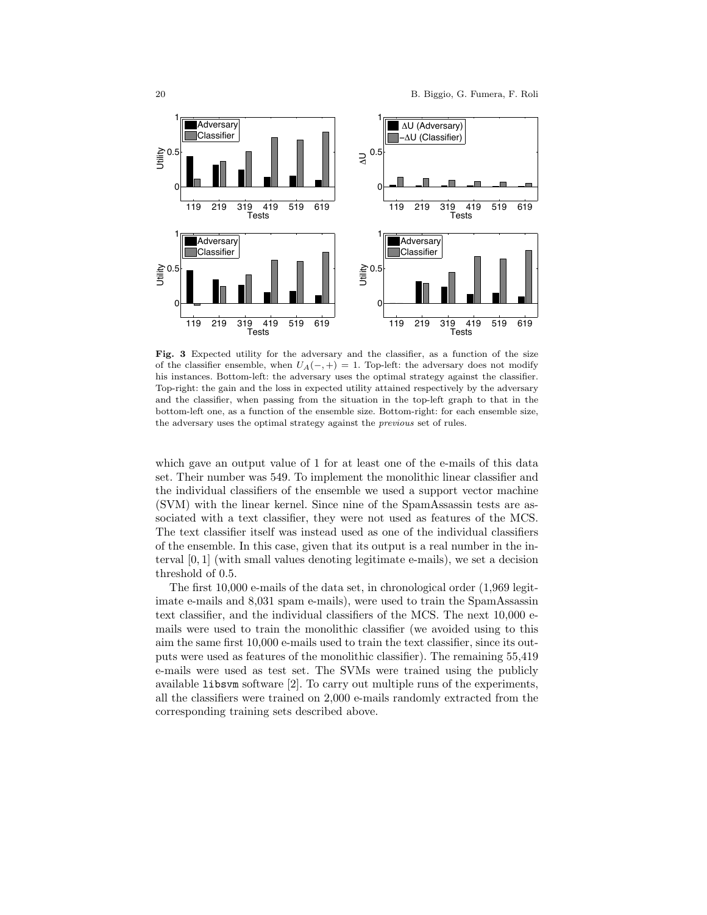

Fig. 3 Expected utility for the adversary and the classifier, as a function of the size of the classifier ensemble, when  $U_A(-,+) = 1$ . Top-left: the adversary does not modify his instances. Bottom-left: the adversary uses the optimal strategy against the classifier. Top-right: the gain and the loss in expected utility attained respectively by the adversary and the classifier, when passing from the situation in the top-left graph to that in the bottom-left one, as a function of the ensemble size. Bottom-right: for each ensemble size, the adversary uses the optimal strategy against the previous set of rules.

which gave an output value of 1 for at least one of the e-mails of this data set. Their number was 549. To implement the monolithic linear classifier and the individual classifiers of the ensemble we used a support vector machine (SVM) with the linear kernel. Since nine of the SpamAssassin tests are associated with a text classifier, they were not used as features of the MCS. The text classifier itself was instead used as one of the individual classifiers of the ensemble. In this case, given that its output is a real number in the interval [0, 1] (with small values denoting legitimate e-mails), we set a decision threshold of 0.5.

The first 10,000 e-mails of the data set, in chronological order (1,969 legitimate e-mails and 8,031 spam e-mails), were used to train the SpamAssassin text classifier, and the individual classifiers of the MCS. The next 10,000 emails were used to train the monolithic classifier (we avoided using to this aim the same first 10,000 e-mails used to train the text classifier, since its outputs were used as features of the monolithic classifier). The remaining 55,419 e-mails were used as test set. The SVMs were trained using the publicly available libsvm software [2]. To carry out multiple runs of the experiments, all the classifiers were trained on 2,000 e-mails randomly extracted from the corresponding training sets described above.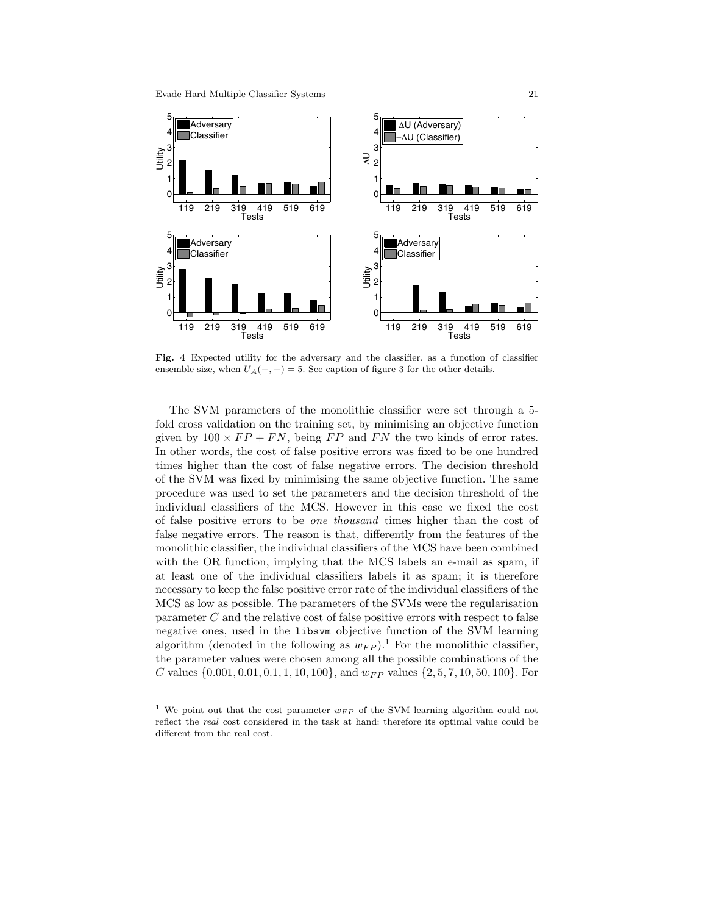

Fig. 4 Expected utility for the adversary and the classifier, as a function of classifier ensemble size, when  $U_A(-,+) = 5$ . See caption of figure 3 for the other details.

The SVM parameters of the monolithic classifier were set through a 5 fold cross validation on the training set, by minimising an objective function given by  $100 \times FP + FN$ , being FP and FN the two kinds of error rates. In other words, the cost of false positive errors was fixed to be one hundred times higher than the cost of false negative errors. The decision threshold of the SVM was fixed by minimising the same objective function. The same procedure was used to set the parameters and the decision threshold of the individual classifiers of the MCS. However in this case we fixed the cost of false positive errors to be one thousand times higher than the cost of false negative errors. The reason is that, differently from the features of the monolithic classifier, the individual classifiers of the MCS have been combined with the OR function, implying that the MCS labels an e-mail as spam, if at least one of the individual classifiers labels it as spam; it is therefore necessary to keep the false positive error rate of the individual classifiers of the MCS as low as possible. The parameters of the SVMs were the regularisation parameter C and the relative cost of false positive errors with respect to false negative ones, used in the libsvm objective function of the SVM learning algorithm (denoted in the following as  $w_{FP}$ ).<sup>1</sup> For the monolithic classifier, the parameter values were chosen among all the possible combinations of the C values  $\{0.001, 0.01, 0.1, 1, 10, 100\}$ , and  $w_{FP}$  values  $\{2, 5, 7, 10, 50, 100\}$ . For

<sup>&</sup>lt;sup>1</sup> We point out that the cost parameter  $w_{FP}$  of the SVM learning algorithm could not reflect the real cost considered in the task at hand: therefore its optimal value could be different from the real cost.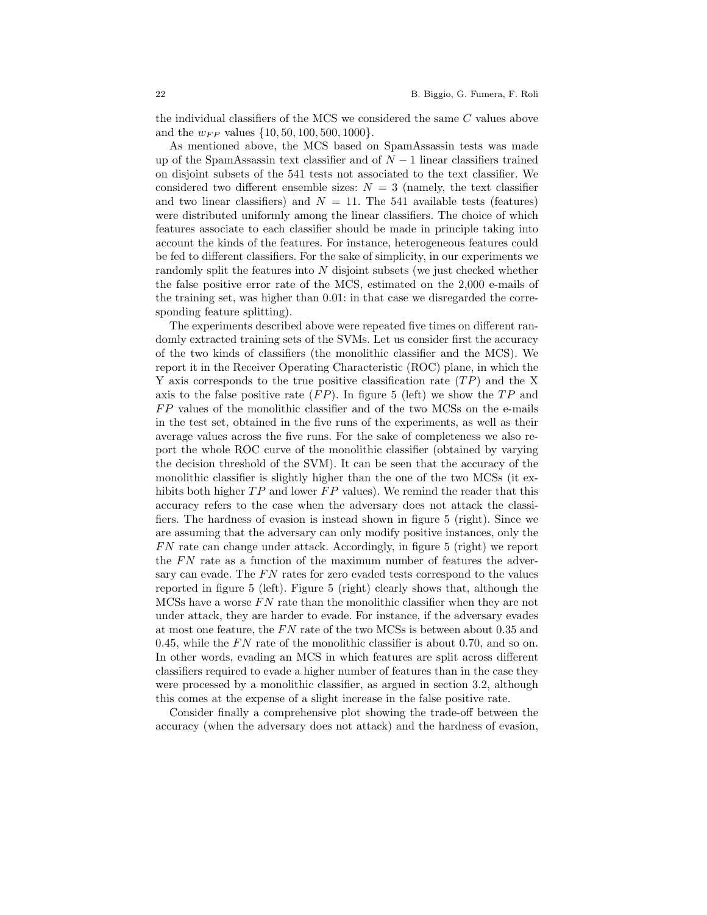the individual classifiers of the MCS we considered the same C values above and the  $w_{FP}$  values  $\{10, 50, 100, 500, 1000\}.$ 

As mentioned above, the MCS based on SpamAssassin tests was made up of the SpamAssassin text classifier and of  $N-1$  linear classifiers trained on disjoint subsets of the 541 tests not associated to the text classifier. We considered two different ensemble sizes:  $N = 3$  (namely, the text classifier and two linear classifiers) and  $N = 11$ . The 541 available tests (features) were distributed uniformly among the linear classifiers. The choice of which features associate to each classifier should be made in principle taking into account the kinds of the features. For instance, heterogeneous features could be fed to different classifiers. For the sake of simplicity, in our experiments we randomly split the features into N disjoint subsets (we just checked whether the false positive error rate of the MCS, estimated on the 2,000 e-mails of the training set, was higher than 0.01: in that case we disregarded the corresponding feature splitting).

The experiments described above were repeated five times on different randomly extracted training sets of the SVMs. Let us consider first the accuracy of the two kinds of classifiers (the monolithic classifier and the MCS). We report it in the Receiver Operating Characteristic (ROC) plane, in which the Y axis corresponds to the true positive classification rate  $(TP)$  and the X axis to the false positive rate  $(FP)$ . In figure 5 (left) we show the  $TP$  and F P values of the monolithic classifier and of the two MCSs on the e-mails in the test set, obtained in the five runs of the experiments, as well as their average values across the five runs. For the sake of completeness we also report the whole ROC curve of the monolithic classifier (obtained by varying the decision threshold of the SVM). It can be seen that the accuracy of the monolithic classifier is slightly higher than the one of the two MCSs (it exhibits both higher  $TP$  and lower  $FP$  values). We remind the reader that this accuracy refers to the case when the adversary does not attack the classifiers. The hardness of evasion is instead shown in figure 5 (right). Since we are assuming that the adversary can only modify positive instances, only the  $FN$  rate can change under attack. Accordingly, in figure 5 (right) we report the  $FN$  rate as a function of the maximum number of features the adversary can evade. The  $FN$  rates for zero evaded tests correspond to the values reported in figure 5 (left). Figure 5 (right) clearly shows that, although the  $MCSs$  have a worse  $FN$  rate than the monolithic classifier when they are not under attack, they are harder to evade. For instance, if the adversary evades at most one feature, the  $FN$  rate of the two MCSs is between about 0.35 and 0.45, while the  $FN$  rate of the monolithic classifier is about 0.70, and so on. In other words, evading an MCS in which features are split across different classifiers required to evade a higher number of features than in the case they were processed by a monolithic classifier, as argued in section 3.2, although this comes at the expense of a slight increase in the false positive rate.

Consider finally a comprehensive plot showing the trade-off between the accuracy (when the adversary does not attack) and the hardness of evasion,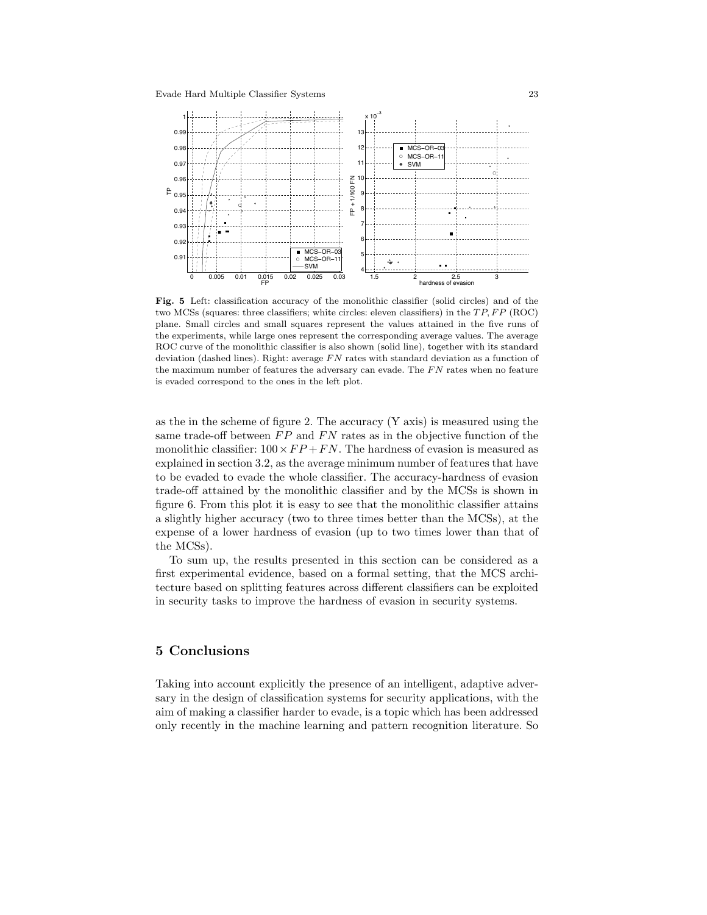

Fig. 5 Left: classification accuracy of the monolithic classifier (solid circles) and of the two MCSs (squares: three classifiers; white circles: eleven classifiers) in the  $TP, FP$  (ROC) plane. Small circles and small squares represent the values attained in the five runs of the experiments, while large ones represent the corresponding average values. The average ROC curve of the monolithic classifier is also shown (solid line), together with its standard deviation (dashed lines). Right: average  $FN$  rates with standard deviation as a function of the maximum number of features the adversary can evade. The  $FN$  rates when no feature is evaded correspond to the ones in the left plot.

as the in the scheme of figure 2. The accuracy (Y axis) is measured using the same trade-off between  $FP$  and  $FN$  rates as in the objective function of the monolithic classifier:  $100 \times FP + FN$ . The hardness of evasion is measured as explained in section 3.2, as the average minimum number of features that have to be evaded to evade the whole classifier. The accuracy-hardness of evasion trade-off attained by the monolithic classifier and by the MCSs is shown in figure 6. From this plot it is easy to see that the monolithic classifier attains a slightly higher accuracy (two to three times better than the MCSs), at the expense of a lower hardness of evasion (up to two times lower than that of the MCSs).

To sum up, the results presented in this section can be considered as a first experimental evidence, based on a formal setting, that the MCS architecture based on splitting features across different classifiers can be exploited in security tasks to improve the hardness of evasion in security systems.

#### 5 Conclusions

Taking into account explicitly the presence of an intelligent, adaptive adversary in the design of classification systems for security applications, with the aim of making a classifier harder to evade, is a topic which has been addressed only recently in the machine learning and pattern recognition literature. So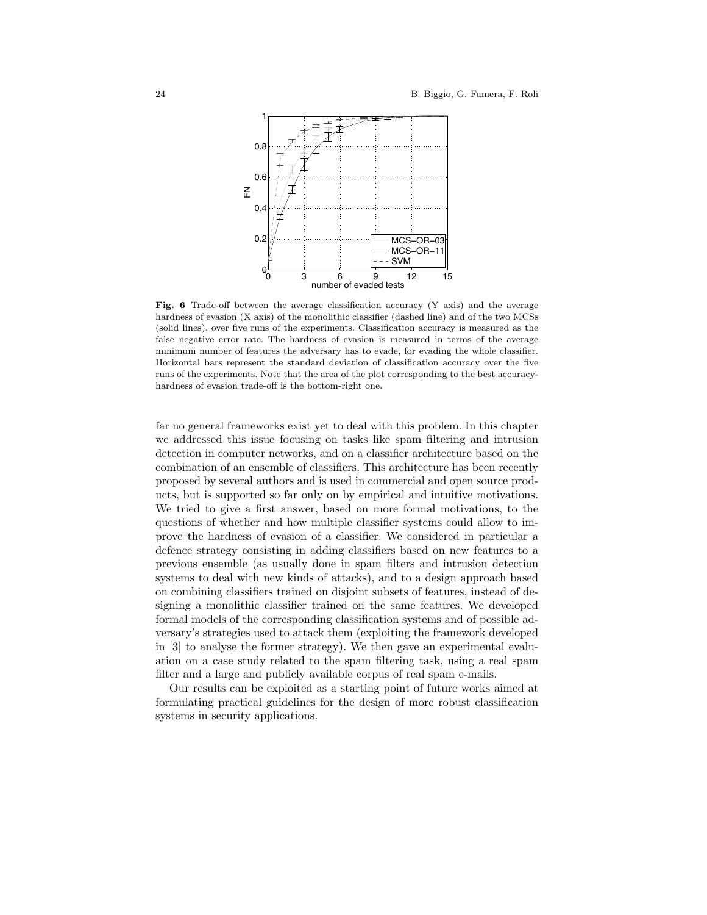

Fig. 6 Trade-off between the average classification accuracy (Y axis) and the average hardness of evasion (X axis) of the monolithic classifier (dashed line) and of the two MCSs (solid lines), over five runs of the experiments. Classification accuracy is measured as the false negative error rate. The hardness of evasion is measured in terms of the average minimum number of features the adversary has to evade, for evading the whole classifier. Horizontal bars represent the standard deviation of classification accuracy over the five runs of the experiments. Note that the area of the plot corresponding to the best accuracyhardness of evasion trade-off is the bottom-right one.

far no general frameworks exist yet to deal with this problem. In this chapter we addressed this issue focusing on tasks like spam filtering and intrusion detection in computer networks, and on a classifier architecture based on the combination of an ensemble of classifiers. This architecture has been recently proposed by several authors and is used in commercial and open source products, but is supported so far only on by empirical and intuitive motivations. We tried to give a first answer, based on more formal motivations, to the questions of whether and how multiple classifier systems could allow to improve the hardness of evasion of a classifier. We considered in particular a defence strategy consisting in adding classifiers based on new features to a previous ensemble (as usually done in spam filters and intrusion detection systems to deal with new kinds of attacks), and to a design approach based on combining classifiers trained on disjoint subsets of features, instead of designing a monolithic classifier trained on the same features. We developed formal models of the corresponding classification systems and of possible adversary's strategies used to attack them (exploiting the framework developed in [3] to analyse the former strategy). We then gave an experimental evaluation on a case study related to the spam filtering task, using a real spam filter and a large and publicly available corpus of real spam e-mails.

Our results can be exploited as a starting point of future works aimed at formulating practical guidelines for the design of more robust classification systems in security applications.